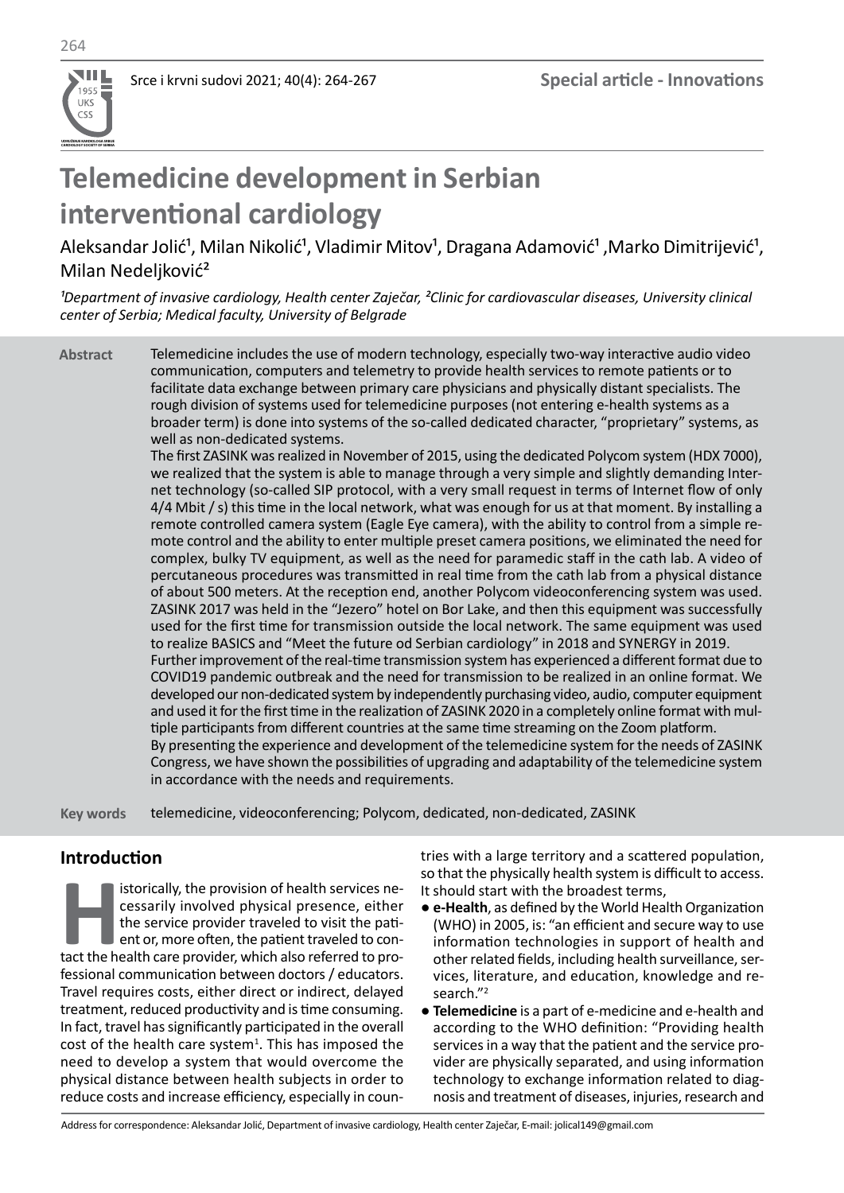**UDRUŽENJE KARDIOLOGA SRBIJE CARDIOLOGY SOCIETY OF SERBIA**

W 1955 **UKS** 

# **Telemedicine development in Serbian interventional cardiology**

Aleksandar Jolić<sup>1</sup>, Milan Nikolić<sup>1</sup>, Vladimir Mitov<sup>1</sup>, Dragana Adamović<sup>1</sup>, Marko Dimitrijević<sup>1</sup>, Milan Nedeljković²

<sup>1</sup>Department of invasive cardiology, Health center Zaječar, <sup>2</sup>Clinic for cardiovascular diseases, University clinical *center of Serbia; Medical faculty, University of Belgrade*

**Abstract** Telemedicine includes the use of modern technology, especially two-way interactive audio video communication, computers and telemetry to provide health services to remote patients or to facilitate data exchange between primary care physicians and physically distant specialists. The rough division of systems used for telemedicine purposes (not entering e-health systems as a broader term) is done into systems of the so-called dedicated character, "proprietary" systems, as well as non-dedicated systems.

> The first ZASINK was realized in November of 2015, using the dedicated Polycom system (HDX 7000), we realized that the system is able to manage through a very simple and slightly demanding Internet technology (so-called SIP protocol, with a very small request in terms of Internet flow of only 4/4 Mbit / s) this time in the local network, what was enough for us at that moment. By installing a remote controlled camera system (Eagle Eye camera), with the ability to control from a simple remote control and the ability to enter multiple preset camera positions, we eliminated the need for complex, bulky TV equipment, as well as the need for paramedic staff in the cath lab. A video of percutaneous procedures was transmitted in real time from the cath lab from a physical distance of about 500 meters. At the reception end, another Polycom videoconferencing system was used. ZASINK 2017 was held in the "Jezero" hotel on Bor Lake, and then this equipment was successfully used for the first time for transmission outside the local network. The same equipment was used to realize BASICS and "Meet the future od Serbian cardiology" in 2018 and SYNERGY in 2019. Further improvement of the real-time transmission system has experienced a different format due to COVID19 pandemic outbreak and the need for transmission to be realized in an online format. We developed our non-dedicated system by independently purchasing video, audio, computer equipment and used it for the first time in the realization of ZASINK 2020 in a completely online format with multiple participants from different countries at the same time streaming on the Zoom platform. By presenting the experience and development of the telemedicine system for the needs of ZASINK Congress, we have shown the possibilities of upgrading and adaptability of the telemedicine system in accordance with the needs and requirements.

**Key words** telemedicine, videoconferencing; Polycom, dedicated, non-dedicated, ZASINK

# **Introduction**

**Historically, the provision of health services necessarily involved physical presence, either the service provider traveled to visit the patient or, more often, the patient traveled to contact the health care provider, wh** cessarily involved physical presence, either the service provider traveled to visit the patient or, more often, the patient traveled to confessional communication between doctors / educators. Travel requires costs, either direct or indirect, delayed treatment, reduced productivity and is time consuming. In fact, travel has significantly participated in the overall cost of the health care system<sup>1</sup>. This has imposed the need to develop a system that would overcome the physical distance between health subjects in order to reduce costs and increase efficiency, especially in countries with a large territory and a scattered population, so that the physically health system is difficult to access. It should start with the broadest terms,

- **e-Health**, as defined by the World Health Organization (WHO) in 2005, is: "an efficient and secure way to use information technologies in support of health and other related fields, including health surveillance, services, literature, and education, knowledge and research."<sup>2</sup>
- **Telemedicine** is a part of e-medicine and e-health and according to the WHO definition: "Providing health services in a way that the patient and the service provider are physically separated, and using information technology to exchange information related to diagnosis and treatment of diseases, injuries, research and

Address for correspondence: Aleksandar Jolić, Department of invasive cardiology, Health center Zaječar, E-mail: jolical149@gmail.com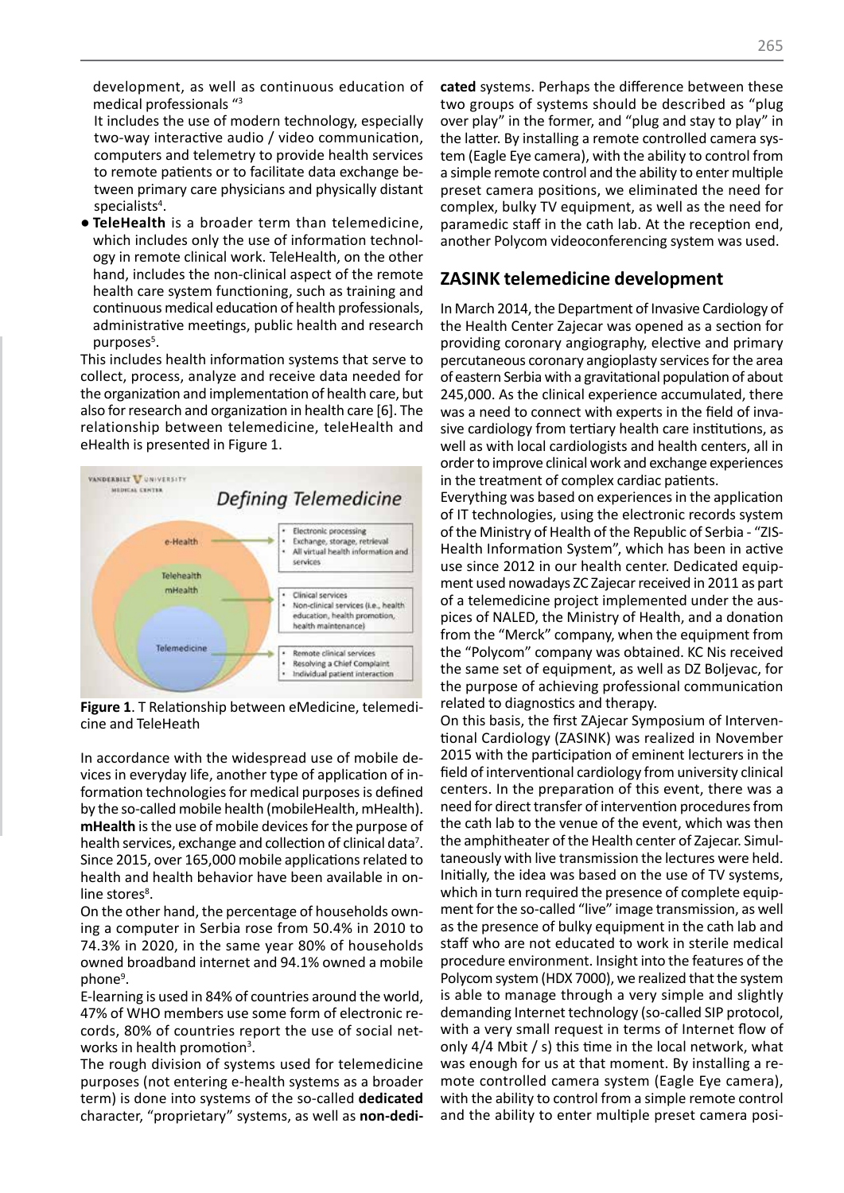development, as well as continuous education of medical professionals "3

It includes the use of modern technology, especially two-way interactive audio / video communication, computers and telemetry to provide health services to remote patients or to facilitate data exchange between primary care physicians and physically distant specialists<sup>4</sup>.

**● TeleHealth** is a broader term than telemedicine, which includes only the use of information technology in remote clinical work. TeleHealth, on the other hand, includes the non-clinical aspect of the remote health care system functioning, such as training and continuous medical education of health professionals, administrative meetings, public health and research purposes<sup>5</sup>.

This includes health information systems that serve to collect, process, analyze and receive data needed for the organization and implementation of health care, but also for research and organization in health care [6]. The relationship between telemedicine, teleHealth and eHealth is presented in Figure 1.



**Figure 1**. T Relationship between eMedicine, telemedicine and TeleHeath

In accordance with the widespread use of mobile devices in everyday life, another type of application of information technologies for medical purposes is defined by the so-called mobile health (mobileHealth, mHealth). **mHealth** is the use of mobile devices for the purpose of health services, exchange and collection of clinical data<sup>7</sup>. Since 2015, over 165,000 mobile applications related to health and health behavior have been available in online stores<sup>8</sup>.

On the other hand, the percentage of households owning a computer in Serbia rose from 50.4% in 2010 to 74.3% in 2020, in the same year 80% of households owned broadband internet and 94.1% owned a mobile phone<sup>9</sup>.

E-learning is used in 84% of countries around the world, 47% of WHO members use some form of electronic records, 80% of countries report the use of social networks in health promotion<sup>3</sup>.

The rough division of systems used for telemedicine purposes (not entering e-health systems as a broader term) is done into systems of the so-called **dedicated** character, "proprietary" systems, as well as **non-dedi-** **cated** systems. Perhaps the difference between these two groups of systems should be described as "plug over play" in the former, and "plug and stay to play" in the latter. By installing a remote controlled camera system (Eagle Eye camera), with the ability to control from a simple remote control and the ability to enter multiple preset camera positions, we eliminated the need for complex, bulky TV equipment, as well as the need for paramedic staff in the cath lab. At the reception end, another Polycom videoconferencing system was used.

## **ZASINK telemedicine development**

In March 2014, the Department of Invasive Cardiology of the Health Center Zajecar was opened as a section for providing coronary angiography, elective and primary percutaneous coronary angioplasty services for the area of eastern Serbia with a gravitational population of about 245,000. As the clinical experience accumulated, there was a need to connect with experts in the field of invasive cardiology from tertiary health care institutions, as well as with local cardiologists and health centers, all in order to improve clinical work and exchange experiences in the treatment of complex cardiac patients.

Everything was based on experiences in the application of IT technologies, using the electronic records system of the Ministry of Health of the Republic of Serbia - "ZIS-Health Information System", which has been in active use since 2012 in our health center. Dedicated equipment used nowadays ZC Zajecar received in 2011 as part of a telemedicine project implemented under the auspices of NALED, the Ministry of Health, and a donation from the "Merck" company, when the equipment from the "Polycom" company was obtained. KC Nis received the same set of equipment, as well as DZ Boljevac, for the purpose of achieving professional communication related to diagnostics and therapy.

On this basis, the first ZAjecar Symposium of Interventional Cardiology (ZASINK) was realized in November 2015 with the participation of eminent lecturers in the field of interventional cardiology from university clinical centers. In the preparation of this event, there was a need for direct transfer of intervention procedures from the cath lab to the venue of the event, which was then the amphitheater of the Health center of Zajecar. Simultaneously with live transmission the lectures were held. Initially, the idea was based on the use of TV systems, which in turn required the presence of complete equipment for the so-called "live" image transmission, as well as the presence of bulky equipment in the cath lab and staff who are not educated to work in sterile medical procedure environment. Insight into the features of the Polycom system (HDX 7000), we realized that the system is able to manage through a very simple and slightly demanding Internet technology (so-called SIP protocol, with a very small request in terms of Internet flow of only 4/4 Mbit / s) this time in the local network, what was enough for us at that moment. By installing a remote controlled camera system (Eagle Eye camera), with the ability to control from a simple remote control and the ability to enter multiple preset camera posi-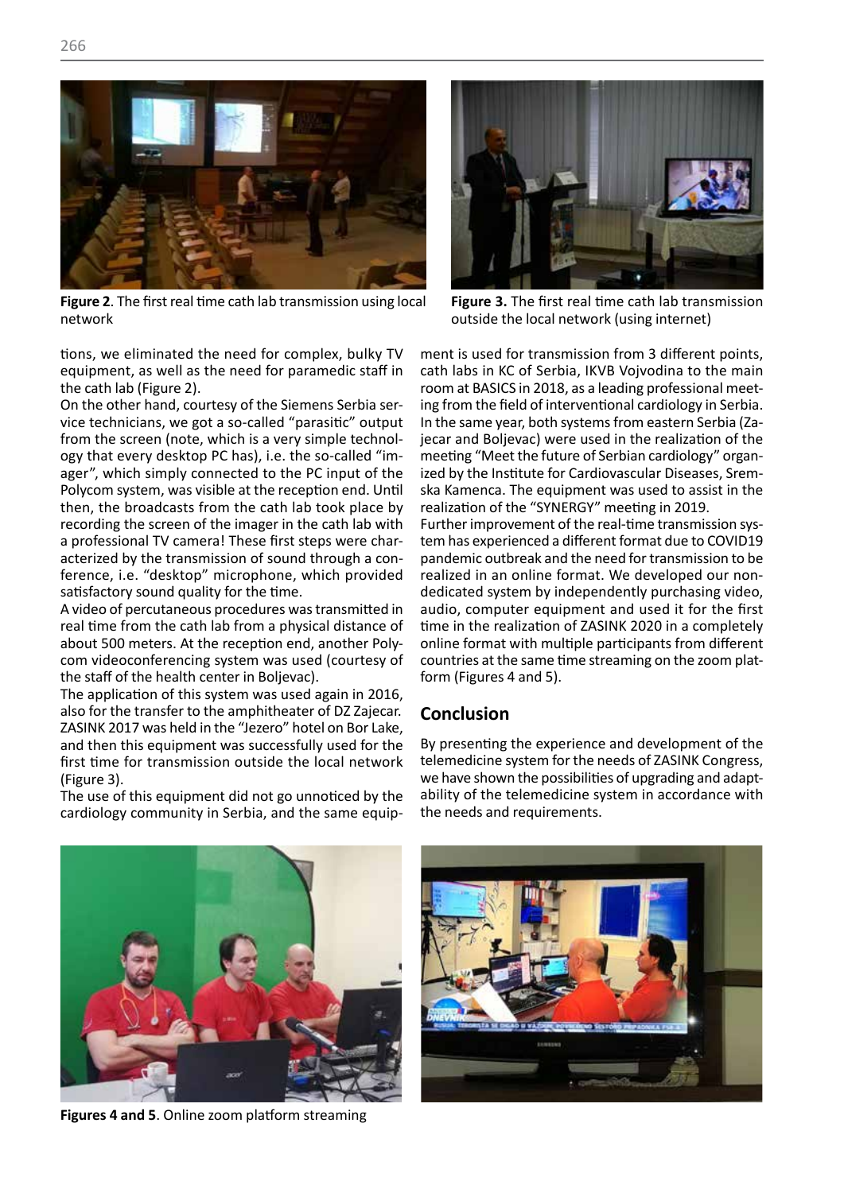

**Figure 2**. The first real time cath lab transmission using local network

tions, we eliminated the need for complex, bulky TV equipment, as well as the need for paramedic staff in the cath lab (Figure 2).

On the other hand, courtesy of the Siemens Serbia service technicians, we got a so-called "parasitic" output from the screen (note, which is a very simple technology that every desktop PC has), i.e. the so-called "imager", which simply connected to the PC input of the Polycom system, was visible at the reception end. Until then, the broadcasts from the cath lab took place by recording the screen of the imager in the cath lab with a professional TV camera! These first steps were characterized by the transmission of sound through a conference, i.e. "desktop" microphone, which provided satisfactory sound quality for the time.

A video of percutaneous procedures was transmitted in real time from the cath lab from a physical distance of about 500 meters. At the reception end, another Polycom videoconferencing system was used (courtesy of the staff of the health center in Boljevac).

The application of this system was used again in 2016, also for the transfer to the amphitheater of DZ Zajecar. ZASINK 2017 was held in the "Jezero" hotel on Bor Lake, and then this equipment was successfully used for the first time for transmission outside the local network (Figure 3).

The use of this equipment did not go unnoticed by the cardiology community in Serbia, and the same equip-



**Figure 3.** The first real time cath lab transmission outside the local network (using internet)

ment is used for transmission from 3 different points, cath labs in KC of Serbia, IKVB Vojvodina to the main room at BASICS in 2018, as a leading professional meeting from the field of interventional cardiology in Serbia. In the same year, both systems from eastern Serbia (Zajecar and Boljevac) were used in the realization of the meeting "Meet the future of Serbian cardiology" organized by the Institute for Cardiovascular Diseases, Sremska Kamenca. The equipment was used to assist in the realization of the "SYNERGY" meeting in 2019. Further improvement of the real-time transmission system has experienced a different format due to COVID19 pandemic outbreak and the need for transmission to be realized in an online format. We developed our nondedicated system by independently purchasing video, audio, computer equipment and used it for the first time in the realization of ZASINK 2020 in a completely online format with multiple participants from different countries at the same time streaming on the zoom plat-

#### **Conclusion**

form (Figures 4 and 5).

By presenting the experience and development of the telemedicine system for the needs of ZASINK Congress, we have shown the possibilities of upgrading and adaptability of the telemedicine system in accordance with the needs and requirements.



**Figures 4 and 5**. Online zoom platform streaming